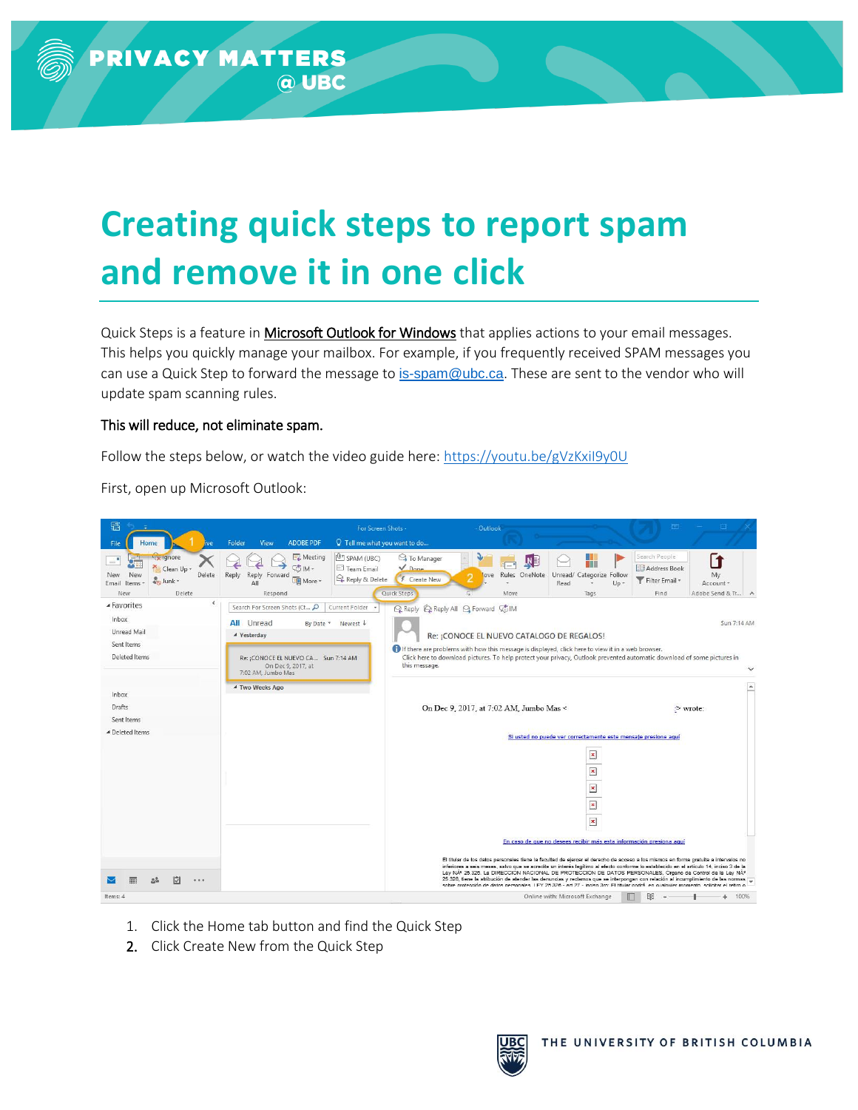## **Creating quick steps to report spam and remove it in one click**

Quick Steps is a feature in Microsoft Outlook for Windows that applies actions to your email messages. This helps you quickly manage your mailbox. For example, if you frequently received SPAM messages you can use a Quick Step to forward the message to [is-spam@ubc.ca](mailto:is-spam@ubc.ca). These are sent to the vendor who will update spam scanning rules.

## This will reduce, not eliminate spam.

Follow the steps below, or watch the video guide here[: https://youtu.be/gVzKxiI9y0U](https://youtu.be/gVzKxiI9y0U)

First, open up Microsoft Outlook:

| 屬                                                                                                                               |                                                                                                     | For Screen Shots -                                                                                                                | Outlook                                                                                                                                                                                                                                                                                                                                                                                                                                                                                                                                                                                                                                                             |                                                                     | 団                                                       |                                            |
|---------------------------------------------------------------------------------------------------------------------------------|-----------------------------------------------------------------------------------------------------|-----------------------------------------------------------------------------------------------------------------------------------|---------------------------------------------------------------------------------------------------------------------------------------------------------------------------------------------------------------------------------------------------------------------------------------------------------------------------------------------------------------------------------------------------------------------------------------------------------------------------------------------------------------------------------------------------------------------------------------------------------------------------------------------------------------------|---------------------------------------------------------------------|---------------------------------------------------------|--------------------------------------------|
| File<br>ive<br>$H$ ome                                                                                                          | <b>ADOBE PDF</b><br>Folder<br>View                                                                  | Q Tell me what you want to do                                                                                                     |                                                                                                                                                                                                                                                                                                                                                                                                                                                                                                                                                                                                                                                                     |                                                                     |                                                         |                                            |
| <b>H<sub>I</sub></b> Ignore<br>÷<br>Clean Up +<br>New<br>Delete<br>New<br><b>Co</b> Junk -<br>Email<br>Items *<br>New<br>Delete | <b>EL</b> Meeting<br>$56$ IM $\sim$<br>Reply<br>Reply Forward<br><b>DE</b> More *<br>All<br>Respond | <sup>(0</sup> ] SPAM (UBC)<br><b>C</b> To Manager<br>$\sqrt{Dane}$<br>Team Email<br>Reply & Delete<br>F Create New<br>Quick Steps | W<br>Rules OneNote<br>love<br>Move                                                                                                                                                                                                                                                                                                                                                                                                                                                                                                                                                                                                                                  | Unread/<br>Categorize Follow<br>Read<br>$Up -$<br>Tags              | Search People<br>Address Book<br>Filter Email *<br>Find | Γ1<br>Mv<br>Account *<br>Adobe Send & Tr A |
| ▲ Favorites                                                                                                                     | Search For Screen Shots (Ct                                                                         | Current Folder                                                                                                                    | Q Reply Q Reply All Q Forward G IM                                                                                                                                                                                                                                                                                                                                                                                                                                                                                                                                                                                                                                  |                                                                     |                                                         |                                            |
| <b>Inbox</b><br>Unread Mail<br>Sent Items                                                                                       | <b>All</b> Unread<br>By Date *<br>▲ Yesterday                                                       | Newest $\downarrow$                                                                                                               | Re: ¡CONOCE EL NUEVO CATALOGO DE REGALOS!<br>If there are problems with how this message is displayed, click here to view it in a web browser.                                                                                                                                                                                                                                                                                                                                                                                                                                                                                                                      |                                                                     |                                                         | Sun 7:14 AM                                |
| Deleted Items                                                                                                                   | Re: ¡CONOCE EL NUEVO CA Sun 7:14 AM<br>On Dec 9, 2017, at<br>7:02 AM, Jumbo Mas                     | this message.                                                                                                                     | Click here to download pictures. To help protect your privacy, Outlook prevented automatic download of some pictures in                                                                                                                                                                                                                                                                                                                                                                                                                                                                                                                                             |                                                                     |                                                         |                                            |
| <b>Inbox</b>                                                                                                                    | 4 Two Weeks Ago                                                                                     |                                                                                                                                   |                                                                                                                                                                                                                                                                                                                                                                                                                                                                                                                                                                                                                                                                     |                                                                     |                                                         |                                            |
| Drafts                                                                                                                          |                                                                                                     |                                                                                                                                   | On Dec 9, 2017, at 7:02 AM, Jumbo Mas <                                                                                                                                                                                                                                                                                                                                                                                                                                                                                                                                                                                                                             |                                                                     |                                                         | > wrote:                                   |
| Sent Items                                                                                                                      |                                                                                                     |                                                                                                                                   |                                                                                                                                                                                                                                                                                                                                                                                                                                                                                                                                                                                                                                                                     |                                                                     |                                                         |                                            |
| 4 Deleted Items                                                                                                                 |                                                                                                     |                                                                                                                                   |                                                                                                                                                                                                                                                                                                                                                                                                                                                                                                                                                                                                                                                                     | Si usted no puede ver correctamente este mensaje presione aquí      |                                                         |                                            |
|                                                                                                                                 |                                                                                                     |                                                                                                                                   |                                                                                                                                                                                                                                                                                                                                                                                                                                                                                                                                                                                                                                                                     | $\pmb{\times}$                                                      |                                                         |                                            |
|                                                                                                                                 |                                                                                                     |                                                                                                                                   |                                                                                                                                                                                                                                                                                                                                                                                                                                                                                                                                                                                                                                                                     | $\pmb{\times}$                                                      |                                                         |                                            |
|                                                                                                                                 |                                                                                                     |                                                                                                                                   |                                                                                                                                                                                                                                                                                                                                                                                                                                                                                                                                                                                                                                                                     |                                                                     |                                                         |                                            |
|                                                                                                                                 |                                                                                                     |                                                                                                                                   |                                                                                                                                                                                                                                                                                                                                                                                                                                                                                                                                                                                                                                                                     | $\pmb{\times}$                                                      |                                                         |                                            |
|                                                                                                                                 |                                                                                                     |                                                                                                                                   |                                                                                                                                                                                                                                                                                                                                                                                                                                                                                                                                                                                                                                                                     | $\pmb{\times}$                                                      |                                                         |                                            |
|                                                                                                                                 |                                                                                                     |                                                                                                                                   |                                                                                                                                                                                                                                                                                                                                                                                                                                                                                                                                                                                                                                                                     | $\pmb{\times}$                                                      |                                                         |                                            |
|                                                                                                                                 |                                                                                                     |                                                                                                                                   |                                                                                                                                                                                                                                                                                                                                                                                                                                                                                                                                                                                                                                                                     | En caso de que no desees recibir más esta información presiona aquí |                                                         |                                            |
| M<br>0.0.0                                                                                                                      |                                                                                                     |                                                                                                                                   | El títular de los datos personales tiene la facultad de ejercer el derecho de acceso a los mismos en forma gratuita a intervalos no<br>inferiores a seis meses, salvo que se acredite un interés legítimo al efecto conforme lo establecido en el artículo 14, inciso 3 de la<br>Ley NAº 25.326. La DIRECCIÓN NACIONAL DE PROTECCIÓN DE DATOS PERSONALES, Órgano de Control de la Ley NAº<br>25.326, tiene la atribución de atender las denuncias y reclamos que se interpongan con relación al incumplimiento de las normas<br>sobre protección de datos personales LEY 25.326 - art 27 - inciso 3ro: El títular podrá en cualquier momento, solicitar el retiro o |                                                                     |                                                         |                                            |
| Items: 4                                                                                                                        |                                                                                                     |                                                                                                                                   |                                                                                                                                                                                                                                                                                                                                                                                                                                                                                                                                                                                                                                                                     | Online with: Microsoft Exchange                                     |                                                         | 100%<br>÷.                                 |

- 1. Click the Home tab button and find the Quick Step
- 2. Click Create New from the Quick Step

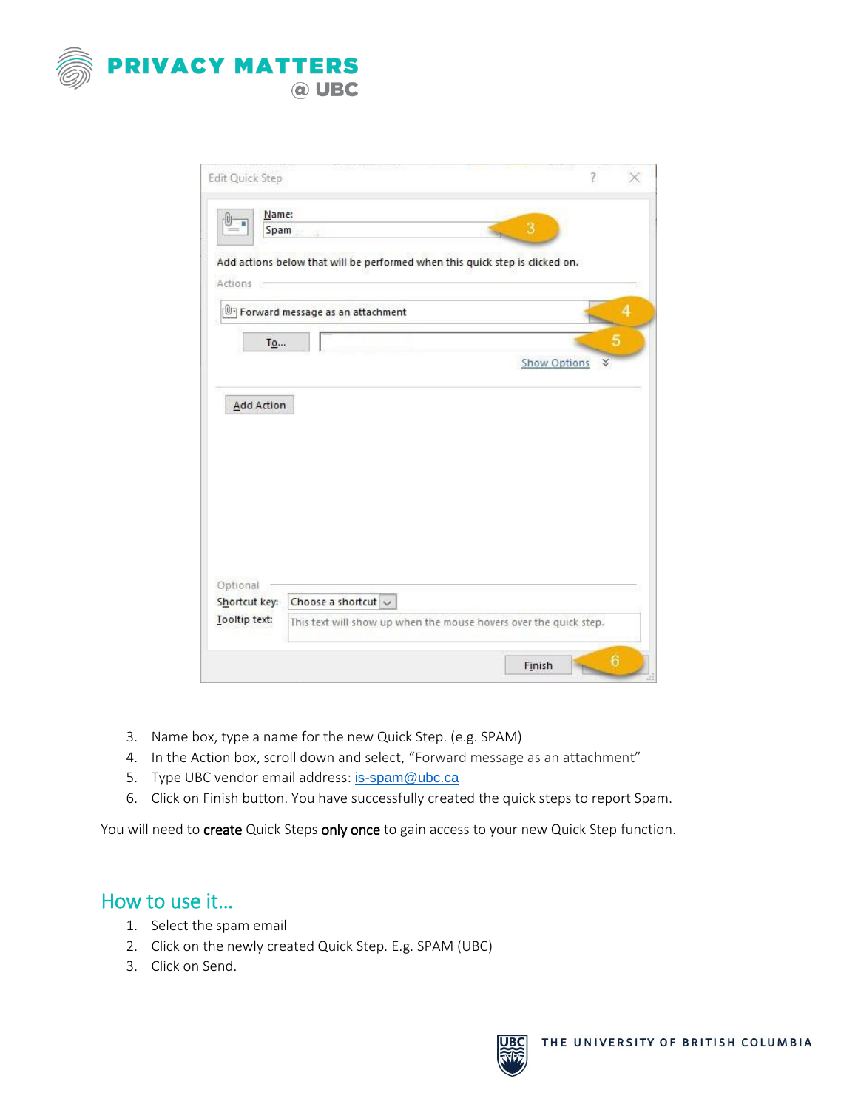

| Name:                                      | Spam.                                                                        | 3                        |
|--------------------------------------------|------------------------------------------------------------------------------|--------------------------|
|                                            |                                                                              |                          |
|                                            | Add actions below that will be performed when this quick step is clicked on. |                          |
| Actions -                                  |                                                                              |                          |
|                                            |                                                                              |                          |
|                                            | Forward message as an attachment                                             |                          |
|                                            |                                                                              |                          |
| To                                         |                                                                              |                          |
|                                            |                                                                              | <b>Show Options</b><br>∛ |
|                                            |                                                                              |                          |
|                                            |                                                                              |                          |
| <b>Add Action</b>                          |                                                                              |                          |
|                                            |                                                                              |                          |
|                                            |                                                                              |                          |
|                                            |                                                                              |                          |
|                                            |                                                                              |                          |
|                                            |                                                                              |                          |
|                                            |                                                                              |                          |
|                                            |                                                                              |                          |
|                                            |                                                                              |                          |
|                                            |                                                                              |                          |
|                                            |                                                                              |                          |
|                                            |                                                                              |                          |
|                                            |                                                                              |                          |
|                                            |                                                                              |                          |
|                                            | Choose a shortcut $\sim$                                                     |                          |
|                                            | This text will show up when the mouse hovers over the quick step.            |                          |
| Optional<br>Shortcut key:<br>Tooltip text: |                                                                              |                          |

- 3. Name box, type a name for the new Quick Step. (e.g. SPAM)
- 4. In the Action box, scroll down and select, "Forward message as an attachment"
- 5. Type UBC vendor email address: [is-spam@ubc.ca](mailto:is-spam@ubc.ca)
- 6. Click on Finish button. You have successfully created the quick steps to report Spam.

You will need to create Quick Steps only once to gain access to your new Quick Step function.

## How to use it…

- 1. Select the spam email
- 2. Click on the newly created Quick Step. E.g. SPAM (UBC)
- 3. Click on Send.